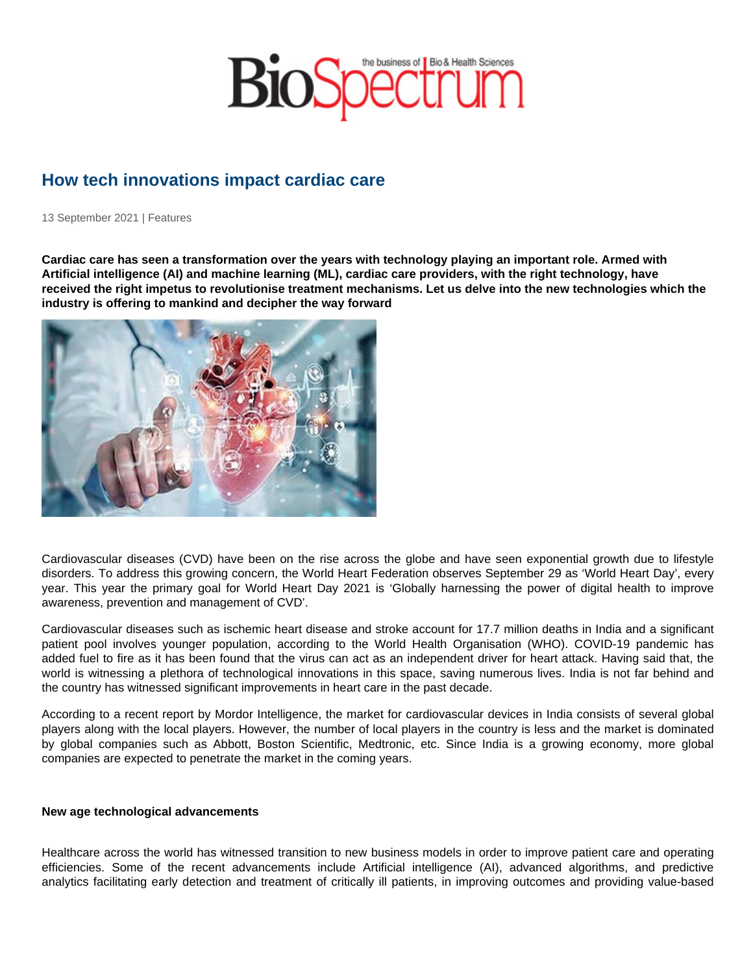## How tech innovations impact cardiac care

13 September 2021 | Features

Cardiac care has seen a transformation over the years with technology playing an important role. Armed with Artificial intelligence (AI) and machine learning (ML), cardiac care providers, with the right technology, have received the right impetus to revolutionise treatment mechanisms. Let us delve into the new technologies which the industry is offering to mankind and decipher the way forward

Cardiovascular diseases (CVD) have been on the rise across the globe and have seen exponential growth due to lifestyle disorders. To address this growing concern, the World Heart Federation observes September 29 as 'World Heart Day', every year. This year the primary goal for World Heart Day 2021 is 'Globally harnessing the power of digital health to improve awareness, prevention and management of CVD'.

Cardiovascular diseases such as ischemic heart disease and stroke account for 17.7 million deaths in India and a significant patient pool involves younger population, according to the World Health Organisation (WHO). COVID-19 pandemic has added fuel to fire as it has been found that the virus can act as an independent driver for heart attack. Having said that, the world is witnessing a plethora of technological innovations in this space, saving numerous lives. India is not far behind and the country has witnessed significant improvements in heart care in the past decade.

According to a recent report by Mordor Intelligence, the market for cardiovascular devices in India consists of several global players along with the local players. However, the number of local players in the country is less and the market is dominated by global companies such as Abbott, Boston Scientific, Medtronic, etc. Since India is a growing economy, more global companies are expected to penetrate the market in the coming years.

New age technological advancements

Healthcare across the world has witnessed transition to new business models in order to improve patient care and operating efficiencies. Some of the recent advancements include Artificial intelligence (AI), advanced algorithms, and predictive analytics facilitating early detection and treatment of critically ill patients, in improving outcomes and providing value-based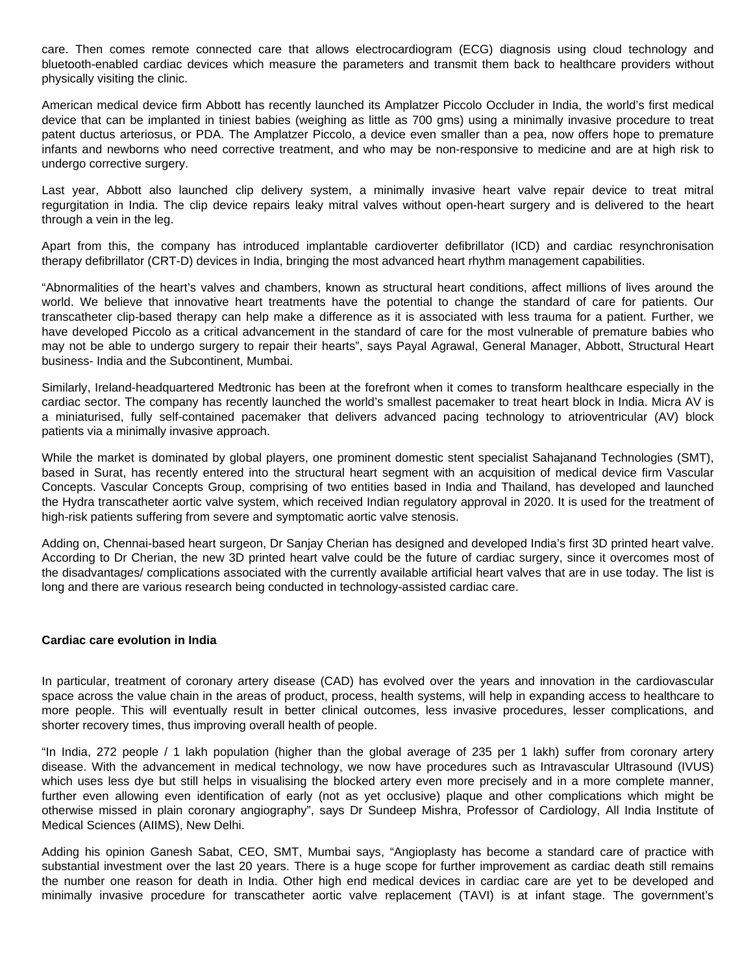care. Then comes remote connected care that allows electrocardiogram (ECG) diagnosis using cloud technology and bluetooth-enabled cardiac devices which measure the parameters and transmit them back to healthcare providers without physically visiting the clinic.

American medical device firm Abbott has recently launched its Amplatzer Piccolo Occluder in India, the world's first medical device that can be implanted in tiniest babies (weighing as little as 700 gms) using a minimally invasive procedure to treat patent ductus arteriosus, or PDA. The Amplatzer Piccolo, a device even smaller than a pea, now offers hope to premature infants and newborns who need corrective treatment, and who may be non-responsive to medicine and are at high risk to undergo corrective surgery.

Last year, Abbott also launched clip delivery system, a minimally invasive heart valve repair device to treat mitral regurgitation in India. The clip device repairs leaky mitral valves without open-heart surgery and is delivered to the heart through a vein in the leg.

Apart from this, the company has introduced implantable cardioverter defibrillator (ICD) and cardiac resynchronisation therapy defibrillator (CRT-D) devices in India, bringing the most advanced heart rhythm management capabilities.

"Abnormalities of the heart's valves and chambers, known as structural heart conditions, affect millions of lives around the world. We believe that innovative heart treatments have the potential to change the standard of care for patients. Our transcatheter clip-based therapy can help make a difference as it is associated with less trauma for a patient. Further, we have developed Piccolo as a critical advancement in the standard of care for the most vulnerable of premature babies who may not be able to undergo surgery to repair their hearts", says Payal Agrawal, General Manager, Abbott, Structural Heart business- India and the Subcontinent, Mumbai.

Similarly, Ireland-headquartered Medtronic has been at the forefront when it comes to transform healthcare especially in the cardiac sector. The company has recently launched the world's smallest pacemaker to treat heart block in India. Micra AV is a miniaturised, fully self-contained pacemaker that delivers advanced pacing technology to atrioventricular (AV) block patients via a minimally invasive approach.

While the market is dominated by global players, one prominent domestic stent specialist Sahajanand Technologies (SMT), based in Surat, has recently entered into the structural heart segment with an acquisition of medical device firm Vascular Concepts. Vascular Concepts Group, comprising of two entities based in India and Thailand, has developed and launched the Hydra transcatheter aortic valve system, which received Indian regulatory approval in 2020. It is used for the treatment of high-risk patients suffering from severe and symptomatic aortic valve stenosis.

Adding on, Chennai-based heart surgeon, Dr Sanjay Cherian has designed and developed India's first 3D printed heart valve. According to Dr Cherian, the new 3D printed heart valve could be the future of cardiac surgery, since it overcomes most of the disadvantages/ complications associated with the currently available artificial heart valves that are in use today. The list is long and there are various research being conducted in technology-assisted cardiac care.

## **Cardiac care evolution in India**

In particular, treatment of coronary artery disease (CAD) has evolved over the years and innovation in the cardiovascular space across the value chain in the areas of product, process, health systems, will help in expanding access to healthcare to more people. This will eventually result in better clinical outcomes, less invasive procedures, lesser complications, and shorter recovery times, thus improving overall health of people.

"In India, 272 people / 1 lakh population (higher than the global average of 235 per 1 lakh) suffer from coronary artery disease. With the advancement in medical technology, we now have procedures such as Intravascular Ultrasound (IVUS) which uses less dye but still helps in visualising the blocked artery even more precisely and in a more complete manner, further even allowing even identification of early (not as yet occlusive) plaque and other complications which might be otherwise missed in plain coronary angiography", says Dr Sundeep Mishra, Professor of Cardiology, All India Institute of Medical Sciences (AIIMS), New Delhi.

Adding his opinion Ganesh Sabat, CEO, SMT, Mumbai says, "Angioplasty has become a standard care of practice with substantial investment over the last 20 years. There is a huge scope for further improvement as cardiac death still remains the number one reason for death in India. Other high end medical devices in cardiac care are yet to be developed and minimally invasive procedure for transcatheter aortic valve replacement (TAVI) is at infant stage. The government's